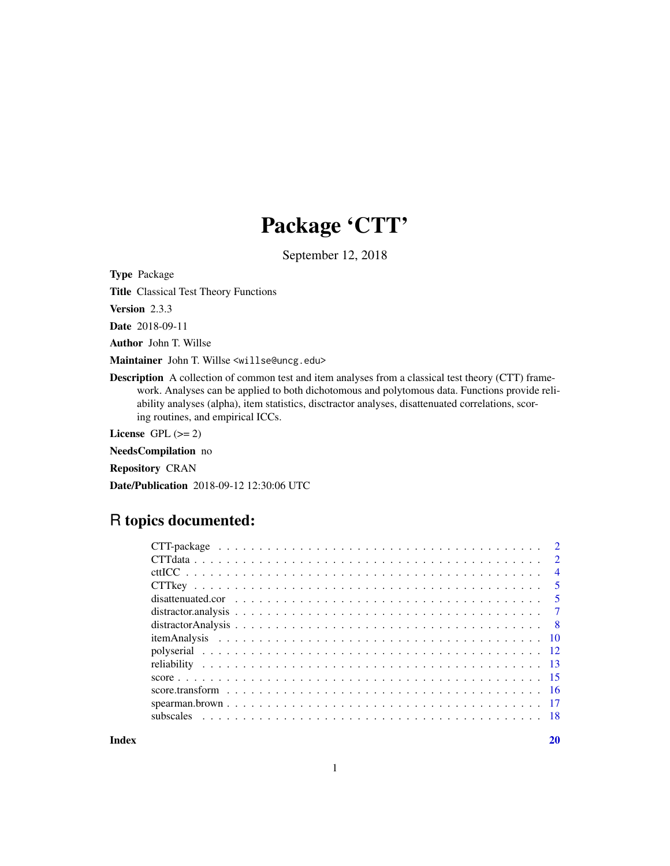## Package 'CTT'

September 12, 2018

Type Package

Title Classical Test Theory Functions

Version 2.3.3

Date 2018-09-11

Author John T. Willse

Maintainer John T. Willse <willse@uncg.edu>

Description A collection of common test and item analyses from a classical test theory (CTT) framework. Analyses can be applied to both dichotomous and polytomous data. Functions provide reliability analyses (alpha), item statistics, disctractor analyses, disattenuated correlations, scoring routines, and empirical ICCs.

License GPL  $(>= 2)$ 

NeedsCompilation no

Repository CRAN

Date/Publication 2018-09-12 12:30:06 UTC

## R topics documented:

| $\overline{4}$ |
|----------------|
|                |
|                |
|                |
|                |
|                |
|                |
|                |
|                |
|                |
|                |
|                |
|                |

 $\bf 1$ ndex  $\bf 20$  $\bf 20$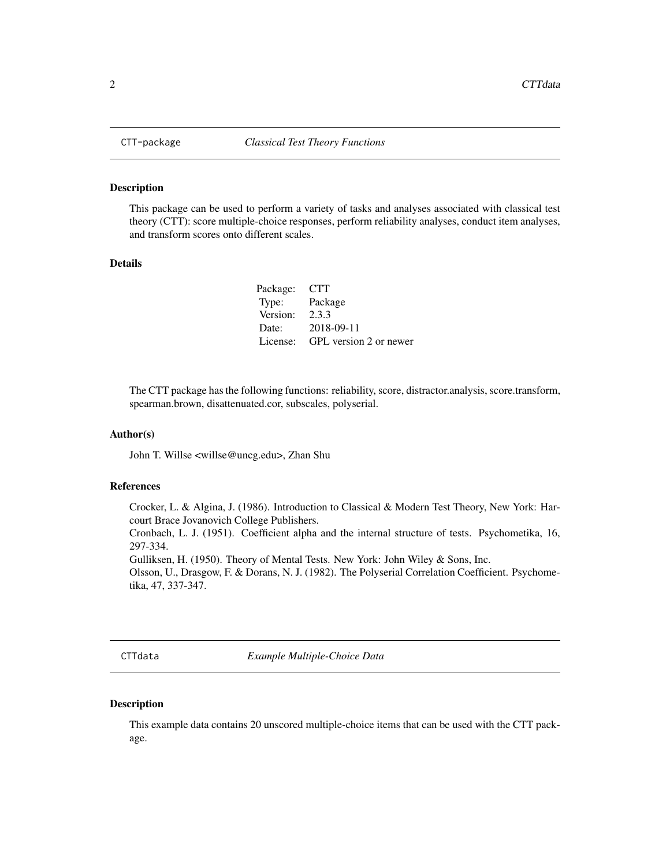<span id="page-1-0"></span>

#### Description

This package can be used to perform a variety of tasks and analyses associated with classical test theory (CTT): score multiple-choice responses, perform reliability analyses, conduct item analyses, and transform scores onto different scales.

#### Details

| Package: CTT |                        |
|--------------|------------------------|
| Type:        | Package                |
| Version:     | 2.3.3                  |
| Date:        | 2018-09-11             |
| License:     | GPL version 2 or newer |

The CTT package has the following functions: reliability, score, distractor.analysis, score.transform, spearman.brown, disattenuated.cor, subscales, polyserial.

#### Author(s)

John T. Willse <willse@uncg.edu>, Zhan Shu

#### References

Crocker, L. & Algina, J. (1986). Introduction to Classical & Modern Test Theory, New York: Harcourt Brace Jovanovich College Publishers.

Cronbach, L. J. (1951). Coefficient alpha and the internal structure of tests. Psychometika, 16, 297-334.

Gulliksen, H. (1950). Theory of Mental Tests. New York: John Wiley & Sons, Inc.

Olsson, U., Drasgow, F. & Dorans, N. J. (1982). The Polyserial Correlation Coefficient. Psychometika, 47, 337-347.

CTTdata *Example Multiple-Choice Data*

#### Description

This example data contains 20 unscored multiple-choice items that can be used with the CTT package.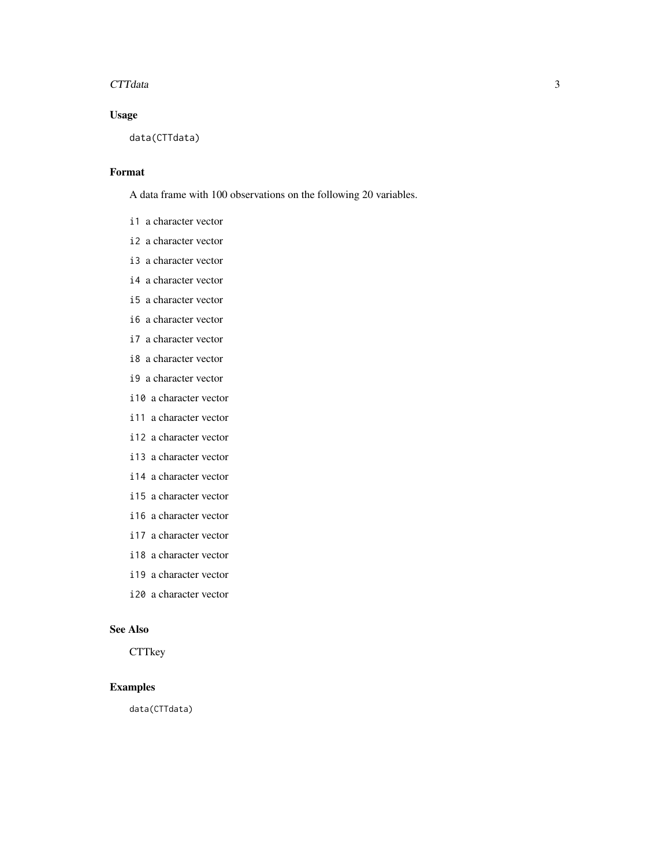#### CTTdata 3

## Usage

data(CTTdata)

#### Format

A data frame with 100 observations on the following 20 variables.

- i1 a character vector
- i2 a character vector
- i3 a character vector
- i4 a character vector
- i5 a character vector
- i6 a character vector
- i7 a character vector
- i8 a character vector
- i9 a character vector
- i10 a character vector
- i11 a character vector
- i12 a character vector
- i13 a character vector
- i14 a character vector
- i15 a character vector
- i16 a character vector
- i17 a character vector
- i18 a character vector
- i19 a character vector
- i20 a character vector

#### See Also

**CTTkey** 

## Examples

data(CTTdata)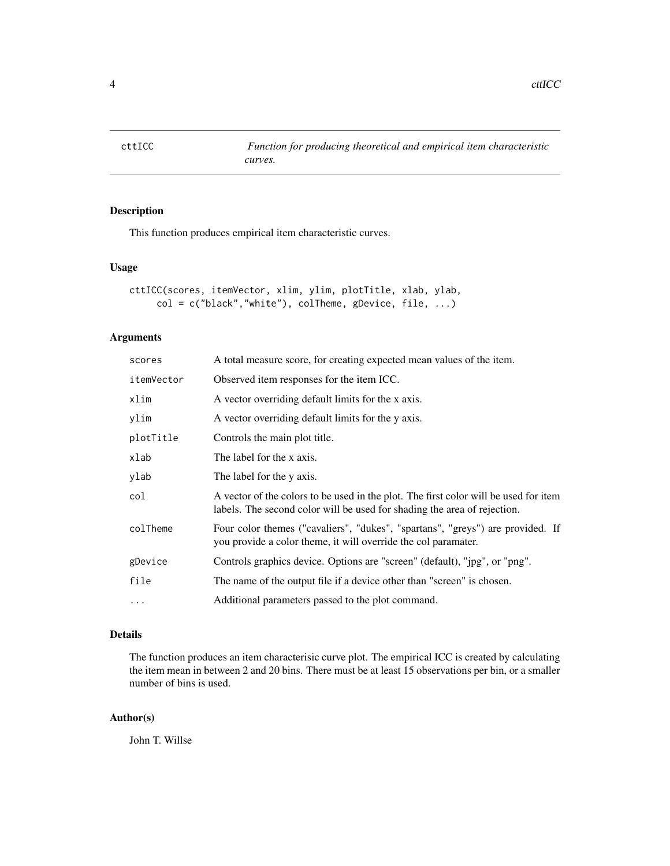<span id="page-3-0"></span>4 cttICC

## Description

This function produces empirical item characteristic curves.

#### Usage

```
cttICC(scores, itemVector, xlim, ylim, plotTitle, xlab, ylab,
     col = c("black", "white"), colTheme, gDevice, file, ...)
```
#### Arguments

| scores     | A total measure score, for creating expected mean values of the item.                                                                                            |
|------------|------------------------------------------------------------------------------------------------------------------------------------------------------------------|
| itemVector | Observed item responses for the item ICC.                                                                                                                        |
| xlim       | A vector overriding default limits for the x axis.                                                                                                               |
| ylim       | A vector overriding default limits for the y axis.                                                                                                               |
| plotTitle  | Controls the main plot title.                                                                                                                                    |
| xlab       | The label for the x axis.                                                                                                                                        |
| ylab       | The label for the y axis.                                                                                                                                        |
| col        | A vector of the colors to be used in the plot. The first color will be used for item<br>labels. The second color will be used for shading the area of rejection. |
| colTheme   | Four color themes ("cavaliers", "dukes", "spartans", "greys") are provided. If<br>you provide a color theme, it will override the col paramater.                 |
| gDevice    | Controls graphics device. Options are "screen" (default), "jpg", or "png".                                                                                       |
| file       | The name of the output file if a device other than "screen" is chosen.                                                                                           |
| $\ddots$   | Additional parameters passed to the plot command.                                                                                                                |
|            |                                                                                                                                                                  |

## Details

The function produces an item characterisic curve plot. The empirical ICC is created by calculating the item mean in between 2 and 20 bins. There must be at least 15 observations per bin, or a smaller number of bins is used.

## Author(s)

John T. Willse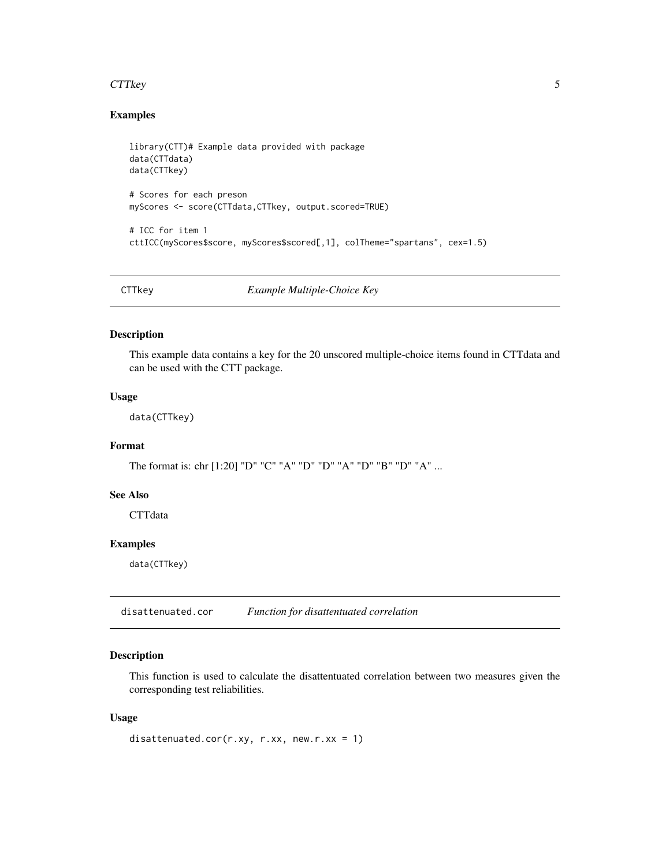#### <span id="page-4-0"></span>CTTkey 5

## Examples

```
library(CTT)# Example data provided with package
data(CTTdata)
data(CTTkey)
# Scores for each preson
myScores <- score(CTTdata,CTTkey, output.scored=TRUE)
# ICC for item 1
cttICC(myScores$score, myScores$scored[,1], colTheme="spartans", cex=1.5)
```
CTTkey *Example Multiple-Choice Key*

#### Description

This example data contains a key for the 20 unscored multiple-choice items found in CTTdata and can be used with the CTT package.

## Usage

data(CTTkey)

## Format

The format is: chr [1:20] "D" "C" "A" "D" "D" "A" "D" "B" "D" "A" ...

## See Also

**CTTdata** 

## Examples

data(CTTkey)

disattenuated.cor *Function for disattentuated correlation*

## Description

This function is used to calculate the disattentuated correlation between two measures given the corresponding test reliabilities.

#### Usage

```
disattenuated.cor(r.xy, r.xx, new.r.xx = 1)
```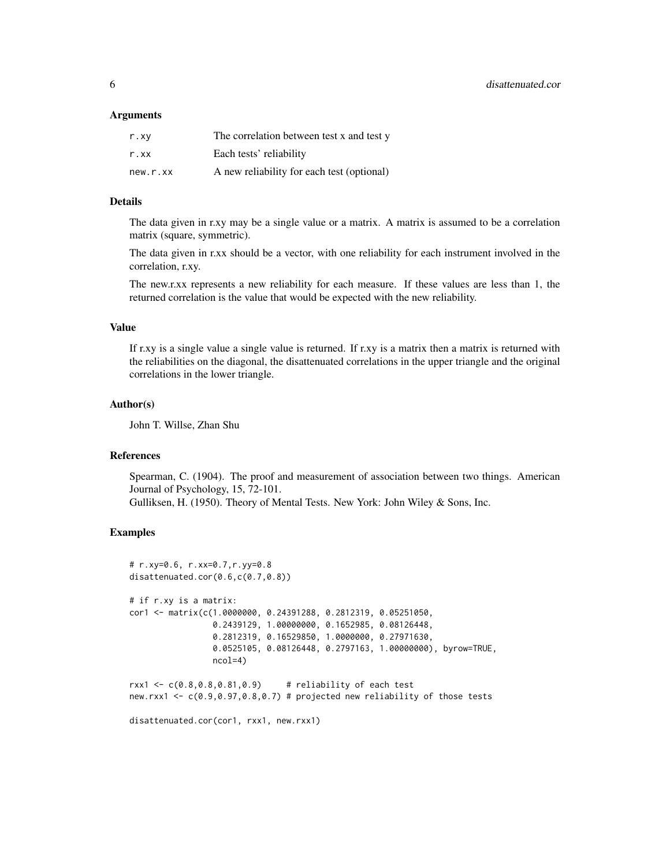#### **Arguments**

| r.xv     | The correlation between test x and test y  |
|----------|--------------------------------------------|
| r.xx     | Each tests' reliability                    |
| new.r.xx | A new reliability for each test (optional) |

#### Details

The data given in r.xy may be a single value or a matrix. A matrix is assumed to be a correlation matrix (square, symmetric).

The data given in r.xx should be a vector, with one reliability for each instrument involved in the correlation, r.xy.

The new.r.xx represents a new reliability for each measure. If these values are less than 1, the returned correlation is the value that would be expected with the new reliability.

#### Value

If r.xy is a single value a single value is returned. If r.xy is a matrix then a matrix is returned with the reliabilities on the diagonal, the disattenuated correlations in the upper triangle and the original correlations in the lower triangle.

#### Author(s)

John T. Willse, Zhan Shu

#### References

Spearman, C. (1904). The proof and measurement of association between two things. American Journal of Psychology, 15, 72-101. Gulliksen, H. (1950). Theory of Mental Tests. New York: John Wiley & Sons, Inc.

#### Examples

```
# r.xy=0.6, r.xx=0.7,r.yy=0.8
disattenuated.cor(0.6,c(0.7,0.8))
# if r.xy is a matrix:
cor1 <- matrix(c(1.0000000, 0.24391288, 0.2812319, 0.05251050,
                0.2439129, 1.00000000, 0.1652985, 0.08126448,
                0.2812319, 0.16529850, 1.0000000, 0.27971630,
                0.0525105, 0.08126448, 0.2797163, 1.00000000), byrow=TRUE,
                ncol=4)
rxx1 <- c(0.8,0.8,0.81,0.9) # reliability of each test
new.rxx1 <- c(0.9,0.97,0.8,0.7) # projected new reliability of those tests
```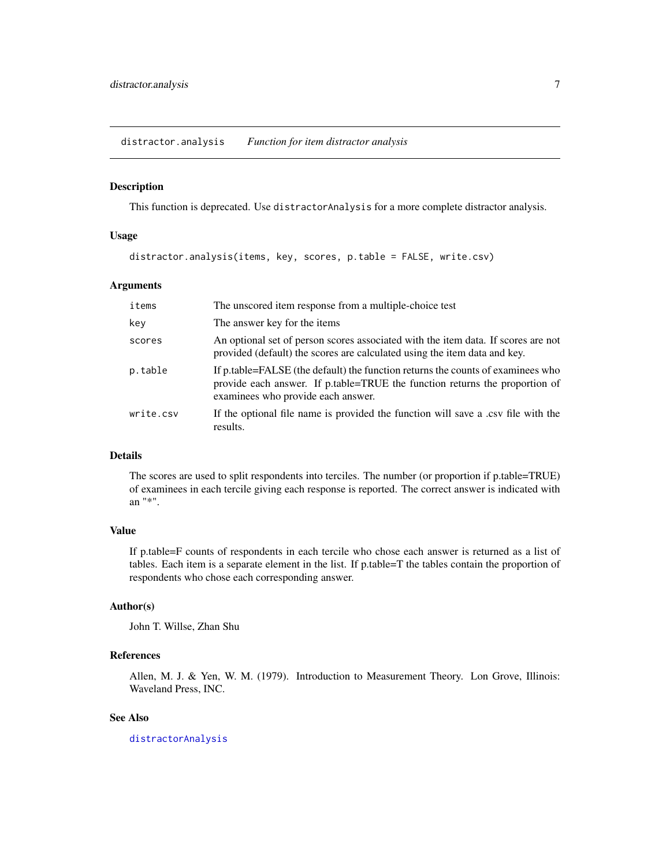<span id="page-6-0"></span>distractor.analysis *Function for item distractor analysis*

#### Description

This function is deprecated. Use distractorAnalysis for a more complete distractor analysis.

#### Usage

distractor.analysis(items, key, scores, p.table = FALSE, write.csv)

#### Arguments

| items     | The unscored item response from a multiple-choice test                                                                                                                                               |
|-----------|------------------------------------------------------------------------------------------------------------------------------------------------------------------------------------------------------|
| key       | The answer key for the items                                                                                                                                                                         |
| scores    | An optional set of person scores associated with the item data. If scores are not<br>provided (default) the scores are calculated using the item data and key.                                       |
| p.table   | If p.table=FALSE (the default) the function returns the counts of examinees who<br>provide each answer. If p.table=TRUE the function returns the proportion of<br>examinees who provide each answer. |
| write.csv | If the optional file name is provided the function will save a .csv file with the<br>results.                                                                                                        |

#### Details

The scores are used to split respondents into terciles. The number (or proportion if p.table=TRUE) of examinees in each tercile giving each response is reported. The correct answer is indicated with an "\*".

## Value

If p.table=F counts of respondents in each tercile who chose each answer is returned as a list of tables. Each item is a separate element in the list. If p.table=T the tables contain the proportion of respondents who chose each corresponding answer.

## Author(s)

John T. Willse, Zhan Shu

## References

Allen, M. J. & Yen, W. M. (1979). Introduction to Measurement Theory. Lon Grove, Illinois: Waveland Press, INC.

#### See Also

[distractorAnalysis](#page-7-1)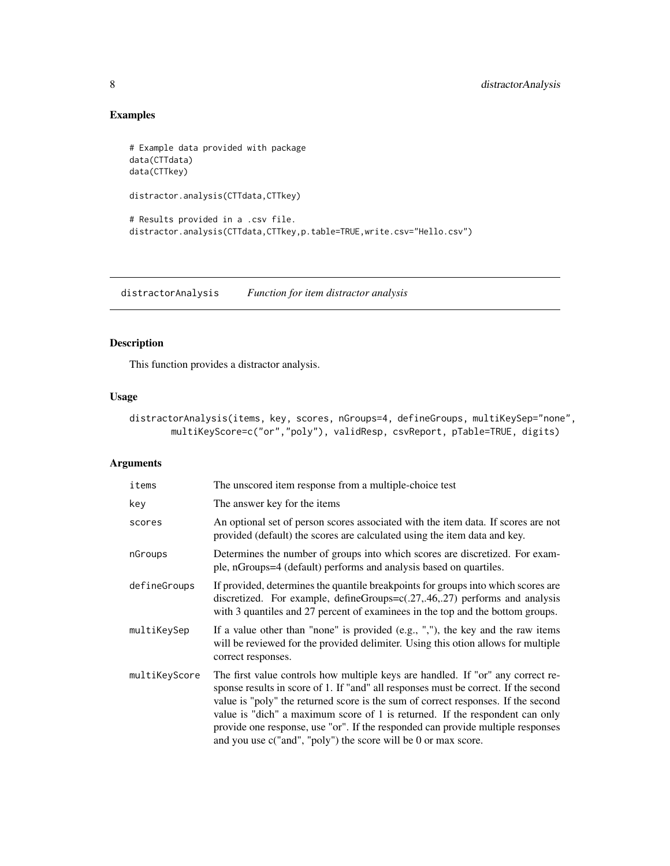## Examples

```
# Example data provided with package
data(CTTdata)
data(CTTkey)
distractor.analysis(CTTdata,CTTkey)
# Results provided in a .csv file.
distractor.analysis(CTTdata,CTTkey,p.table=TRUE,write.csv="Hello.csv")
```
<span id="page-7-1"></span>distractorAnalysis *Function for item distractor analysis*

## Description

This function provides a distractor analysis.

## Usage

distractorAnalysis(items, key, scores, nGroups=4, defineGroups, multiKeySep="none", multiKeyScore=c("or","poly"), validResp, csvReport, pTable=TRUE, digits)

#### Arguments

| items         | The unscored item response from a multiple-choice test                                                                                                                                                                                                                                                                                                                                                                                                                                             |
|---------------|----------------------------------------------------------------------------------------------------------------------------------------------------------------------------------------------------------------------------------------------------------------------------------------------------------------------------------------------------------------------------------------------------------------------------------------------------------------------------------------------------|
| key           | The answer key for the items                                                                                                                                                                                                                                                                                                                                                                                                                                                                       |
| scores        | An optional set of person scores associated with the item data. If scores are not<br>provided (default) the scores are calculated using the item data and key.                                                                                                                                                                                                                                                                                                                                     |
| nGroups       | Determines the number of groups into which scores are discretized. For exam-<br>ple, nGroups=4 (default) performs and analysis based on quartiles.                                                                                                                                                                                                                                                                                                                                                 |
| defineGroups  | If provided, determines the quantile breakpoints for groups into which scores are<br>discretized. For example, defineGroups= $c(.27,.46,.27)$ performs and analysis<br>with 3 quantiles and 27 percent of examinees in the top and the bottom groups.                                                                                                                                                                                                                                              |
| multiKeySep   | If a value other than "none" is provided $(e.g., ","),$ the key and the raw items<br>will be reviewed for the provided delimiter. Using this otion allows for multiple<br>correct responses.                                                                                                                                                                                                                                                                                                       |
| multiKeyScore | The first value controls how multiple keys are handled. If "or" any correct re-<br>sponse results in score of 1. If "and" all responses must be correct. If the second<br>value is "poly" the returned score is the sum of correct responses. If the second<br>value is "dich" a maximum score of 1 is returned. If the respondent can only<br>provide one response, use "or". If the responded can provide multiple responses<br>and you use $c("and", "poly")$ the score will be 0 or max score. |

<span id="page-7-0"></span>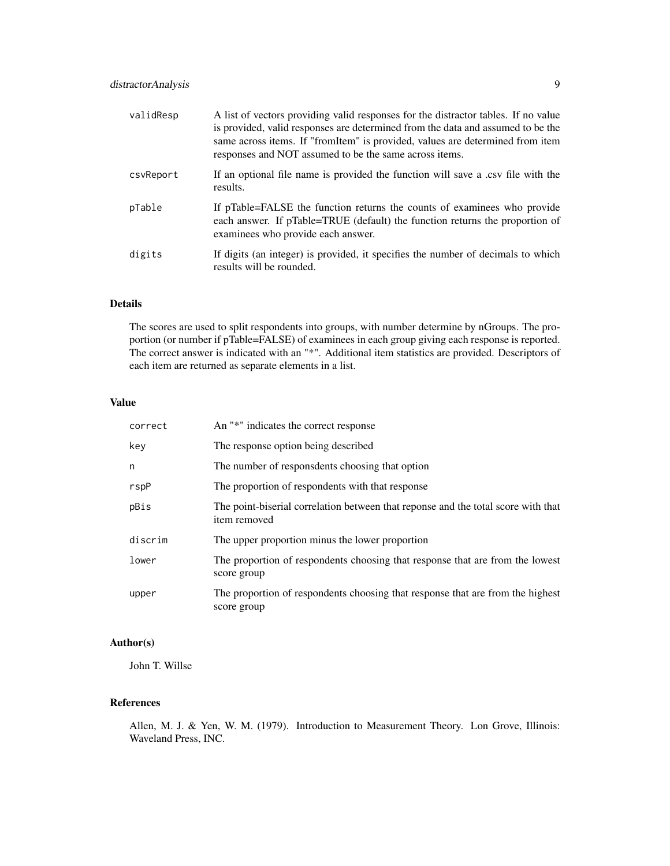| validResp | A list of vectors providing valid responses for the distractor tables. If no value<br>is provided, valid responses are determined from the data and assumed to be the<br>same across items. If "fromItem" is provided, values are determined from item<br>responses and NOT assumed to be the same across items. |
|-----------|------------------------------------------------------------------------------------------------------------------------------------------------------------------------------------------------------------------------------------------------------------------------------------------------------------------|
| csvReport | If an optional file name is provided the function will save a .csv file with the<br>results.                                                                                                                                                                                                                     |
| pTable    | If pTable=FALSE the function returns the counts of examinees who provide<br>each answer. If pTable=TRUE (default) the function returns the proportion of<br>examinees who provide each answer.                                                                                                                   |
| digits    | If digits (an integer) is provided, it specifies the number of decimals to which<br>results will be rounded.                                                                                                                                                                                                     |

#### Details

The scores are used to split respondents into groups, with number determine by nGroups. The proportion (or number if pTable=FALSE) of examinees in each group giving each response is reported. The correct answer is indicated with an "\*". Additional item statistics are provided. Descriptors of each item are returned as separate elements in a list.

#### Value

| correct | An "*" indicates the correct response                                                             |
|---------|---------------------------------------------------------------------------------------------------|
| key     | The response option being described                                                               |
| n       | The number of respons dents choosing that option                                                  |
| rspP    | The proportion of respondents with that response                                                  |
| pBis    | The point-biserial correlation between that reponse and the total score with that<br>item removed |
| discrim | The upper proportion minus the lower proportion                                                   |
| lower   | The proportion of respondents choosing that response that are from the lowest<br>score group      |
| upper   | The proportion of respondents choosing that response that are from the highest<br>score group     |

## Author(s)

John T. Willse

## References

Allen, M. J. & Yen, W. M. (1979). Introduction to Measurement Theory. Lon Grove, Illinois: Waveland Press, INC.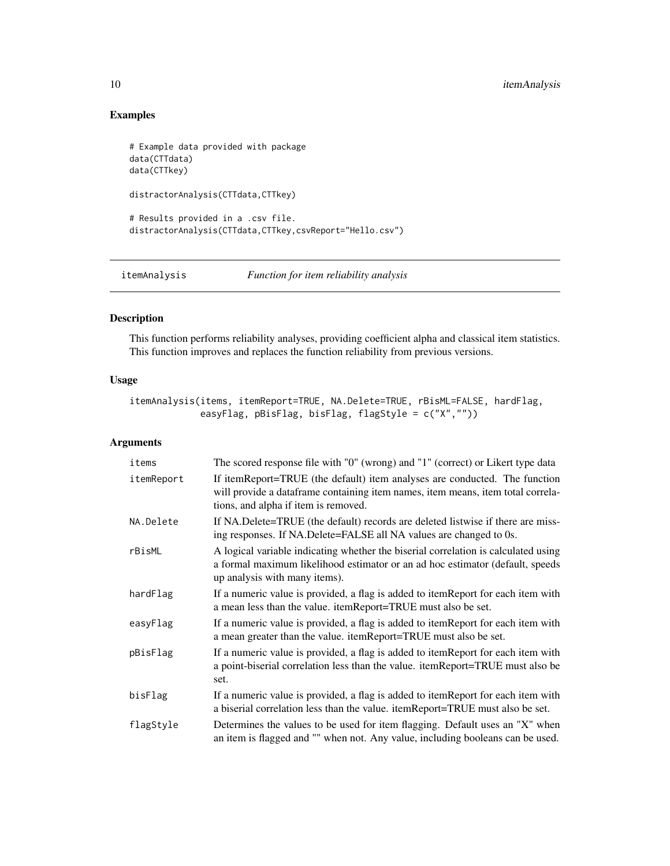## Examples

```
# Example data provided with package
data(CTTdata)
data(CTTkey)
distractorAnalysis(CTTdata,CTTkey)
# Results provided in a .csv file.
distractorAnalysis(CTTdata,CTTkey,csvReport="Hello.csv")
```
<span id="page-9-1"></span>itemAnalysis *Function for item reliability analysis*

## Description

This function performs reliability analyses, providing coefficient alpha and classical item statistics. This function improves and replaces the function reliability from previous versions.

## Usage

itemAnalysis(items, itemReport=TRUE, NA.Delete=TRUE, rBisML=FALSE, hardFlag, easyFlag, pBisFlag, bisFlag, flagStyle = c("X",""))

## Arguments

| items      | The scored response file with "0" (wrong) and "1" (correct) or Likert type data                                                                                                                       |
|------------|-------------------------------------------------------------------------------------------------------------------------------------------------------------------------------------------------------|
| itemReport | If itemReport=TRUE (the default) item analyses are conducted. The function<br>will provide a dataframe containing item names, item means, item total correla-<br>tions, and alpha if item is removed. |
| NA.Delete  | If NA.Delete=TRUE (the default) records are deleted listwise if there are miss-<br>ing responses. If NA.Delete=FALSE all NA values are changed to 0s.                                                 |
| rBisML     | A logical variable indicating whether the biserial correlation is calculated using<br>a formal maximum likelihood estimator or an ad hoc estimator (default, speeds<br>up analysis with many items).  |
| hardFlag   | If a numeric value is provided, a flag is added to itemReport for each item with<br>a mean less than the value. itemReport=TRUE must also be set.                                                     |
| easyFlag   | If a numeric value is provided, a flag is added to itemReport for each item with<br>a mean greater than the value. itemReport=TRUE must also be set.                                                  |
| pBisFlag   | If a numeric value is provided, a flag is added to itemReport for each item with<br>a point-biserial correlation less than the value. itemReport=TRUE must also be<br>set.                            |
| bisFlag    | If a numeric value is provided, a flag is added to itemReport for each item with<br>a biserial correlation less than the value. itemReport=TRUE must also be set.                                     |
| flagStyle  | Determines the values to be used for item flagging. Default uses an "X" when<br>an item is flagged and "" when not. Any value, including booleans can be used.                                        |

<span id="page-9-0"></span>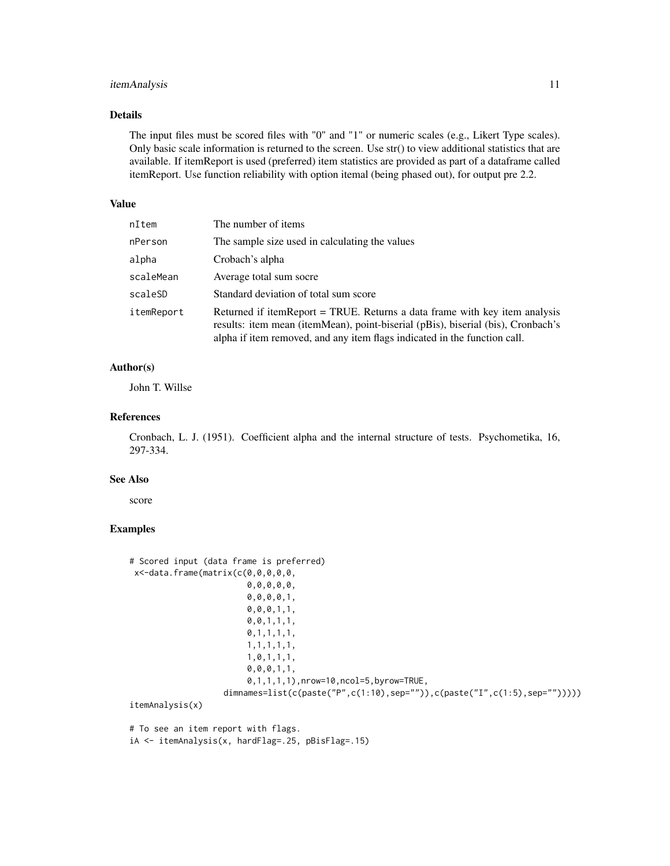## itemAnalysis 11

#### Details

The input files must be scored files with "0" and "1" or numeric scales (e.g., Likert Type scales). Only basic scale information is returned to the screen. Use str() to view additional statistics that are available. If itemReport is used (preferred) item statistics are provided as part of a dataframe called itemReport. Use function reliability with option itemal (being phased out), for output pre 2.2.

#### Value

| nItem      | The number of items                                                                                                                                                                                                                         |
|------------|---------------------------------------------------------------------------------------------------------------------------------------------------------------------------------------------------------------------------------------------|
| nPerson    | The sample size used in calculating the values                                                                                                                                                                                              |
| alpha      | Crobach's alpha                                                                                                                                                                                                                             |
| scaleMean  | Average total sum socre                                                                                                                                                                                                                     |
| scaleSD    | Standard deviation of total sum score                                                                                                                                                                                                       |
| itemReport | Returned if itemReport = TRUE. Returns a data frame with key item analysis<br>results: item mean (itemMean), point-biserial (pBis), biserial (bis), Cronbach's<br>alpha if item removed, and any item flags indicated in the function call. |

## Author(s)

John T. Willse

#### References

Cronbach, L. J. (1951). Coefficient alpha and the internal structure of tests. Psychometika, 16, 297-334.

#### See Also

score

#### Examples

```
# Scored input (data frame is preferred)
x<-data.frame(matrix(c(0,0,0,0,0,
                        0,0,0,0,0,
                        0,0,0,0,1,
                        0,0,0,1,1,
                        0,0,1,1,1,
                        0,1,1,1,1,
                        1,1,1,1,1,
                        1,0,1,1,1,
                        0,0,0,1,1,
                        0,1,1,1,1),nrow=10,ncol=5,byrow=TRUE,
                   dimnames=list(c(paste("P",c(1:10),sep="")),c(paste("I",c(1:5),sep="")))))
itemAnalysis(x)
```
# To see an item report with flags. iA <- itemAnalysis(x, hardFlag=.25, pBisFlag=.15)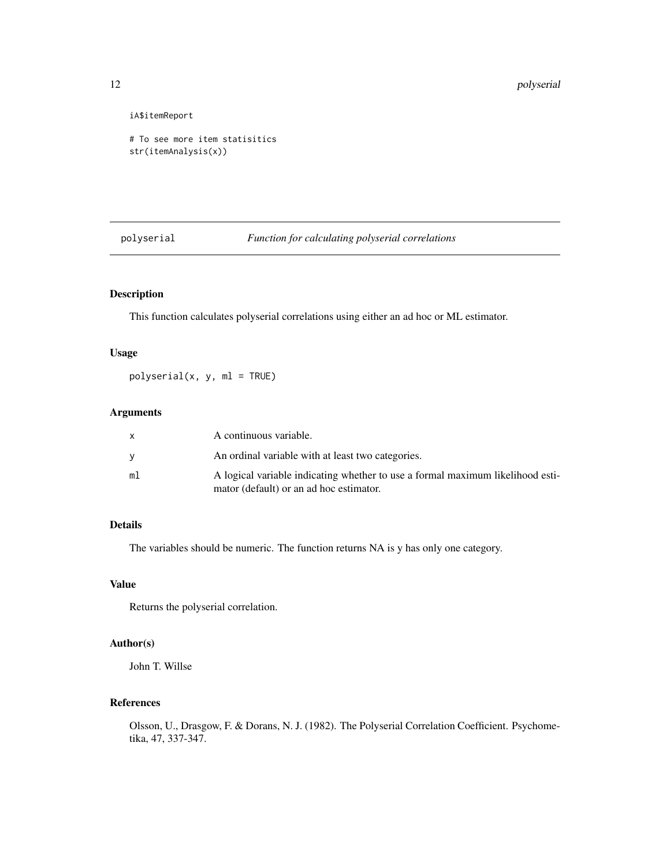iA\$itemReport

```
# To see more item statisitics
str(itemAnalysis(x))
```
#### polyserial *Function for calculating polyserial correlations*

## Description

This function calculates polyserial correlations using either an ad hoc or ML estimator.

## Usage

polyserial(x, y, ml = TRUE)

## Arguments

|    | A continuous variable.                                                         |
|----|--------------------------------------------------------------------------------|
|    | An ordinal variable with at least two categories.                              |
| ml | A logical variable indicating whether to use a formal maximum likelihood esti- |
|    | mator (default) or an ad hoc estimator.                                        |

## Details

The variables should be numeric. The function returns NA is y has only one category.

## Value

Returns the polyserial correlation.

## Author(s)

John T. Willse

#### References

Olsson, U., Drasgow, F. & Dorans, N. J. (1982). The Polyserial Correlation Coefficient. Psychometika, 47, 337-347.

<span id="page-11-0"></span>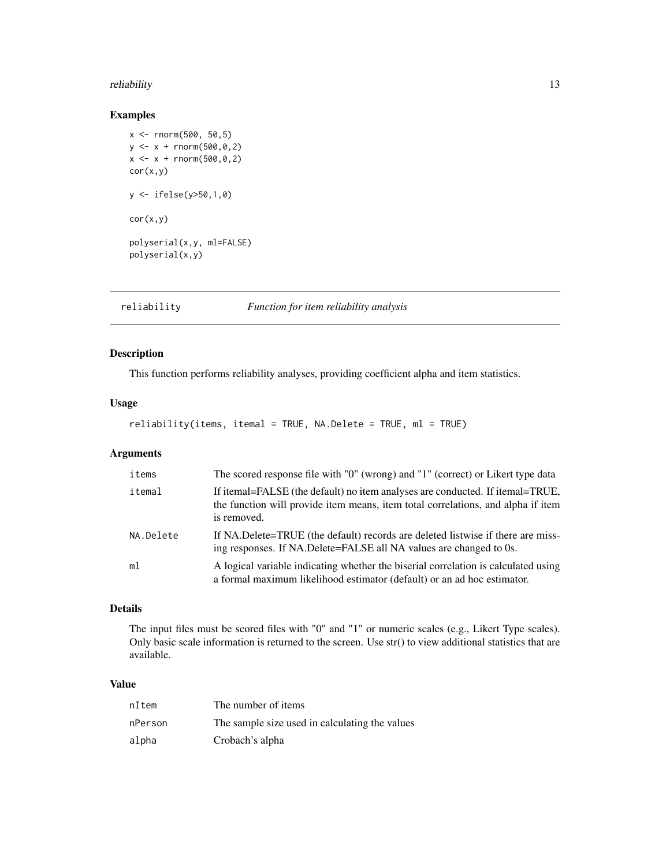#### <span id="page-12-0"></span>reliability that the contract of the contract of the contract of the contract of the contract of the contract of the contract of the contract of the contract of the contract of the contract of the contract of the contract

#### Examples

```
x <- rnorm(500, 50,5)
y \le -x + \text{rnorm}(500, 0, 2)x \le -x + \text{norm}(500, 0, 2)cor(x,y)
y <- ifelse(y>50,1,0)
cor(x,y)polyserial(x,y, ml=FALSE)
polyserial(x,y)
```
reliability *Function for item reliability analysis*

## Description

This function performs reliability analyses, providing coefficient alpha and item statistics.

## Usage

```
reliability(items, itemal = TRUE, NA.Delete = TRUE, ml = TRUE)
```
## Arguments

| items          | The scored response file with "0" (wrong) and "1" (correct) or Likert type data                                                                                                  |
|----------------|----------------------------------------------------------------------------------------------------------------------------------------------------------------------------------|
| itemal         | If itemal=FALSE (the default) no item analyses are conducted. If itemal=TRUE,<br>the function will provide item means, item total correlations, and alpha if item<br>is removed. |
| NA.Delete      | If NA.Delete=TRUE (the default) records are deleted listwise if there are miss-<br>ing responses. If NA.Delete=FALSE all NA values are changed to 0s.                            |
| m <sub>1</sub> | A logical variable indicating whether the biserial correlation is calculated using<br>a formal maximum likelihood estimator (default) or an ad hoc estimator.                    |

## Details

The input files must be scored files with "0" and "1" or numeric scales (e.g., Likert Type scales). Only basic scale information is returned to the screen. Use str() to view additional statistics that are available.

## Value

| nItem   | The number of items                            |
|---------|------------------------------------------------|
| nPerson | The sample size used in calculating the values |
| alpha   | Crobach's alpha                                |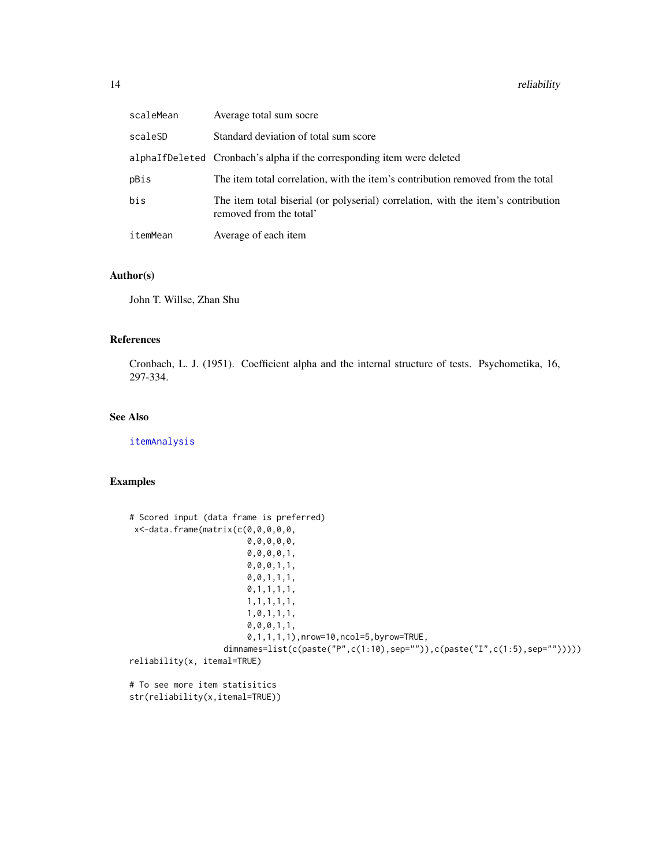<span id="page-13-0"></span>

| scaleMean | Average total sum socre                                                                                      |
|-----------|--------------------------------------------------------------------------------------------------------------|
| scaleSD   | Standard deviation of total sum score                                                                        |
|           | alphaIfDeleted Cronbach's alpha if the corresponding item were deleted                                       |
| pBis      | The item total correlation, with the item's contribution removed from the total                              |
| bis       | The item total biserial (or polyserial) correlation, with the item's contribution<br>removed from the total' |
| itemMean  | Average of each item                                                                                         |

## Author(s)

John T. Willse, Zhan Shu

#### References

Cronbach, L. J. (1951). Coefficient alpha and the internal structure of tests. Psychometika, 16, 297-334.

## See Also

[itemAnalysis](#page-9-1)

## Examples

```
# Scored input (data frame is preferred)
x<-data.frame(matrix(c(0,0,0,0,0,
                        0,0,0,0,0,
                        0,0,0,0,1,
                        0,0,0,1,1,
                        0,0,1,1,1,
                        0,1,1,1,1,
                        1,1,1,1,1,
                        1,0,1,1,1,
                        0,0,0,1,1,
                        0,1,1,1,1),nrow=10,ncol=5,byrow=TRUE,
                   dimnames=list(c(paste("P",c(1:10),sep="")),c(paste("I",c(1:5),sep="")))))
reliability(x, itemal=TRUE)
# To see more item statisitics
str(reliability(x,itemal=TRUE))
```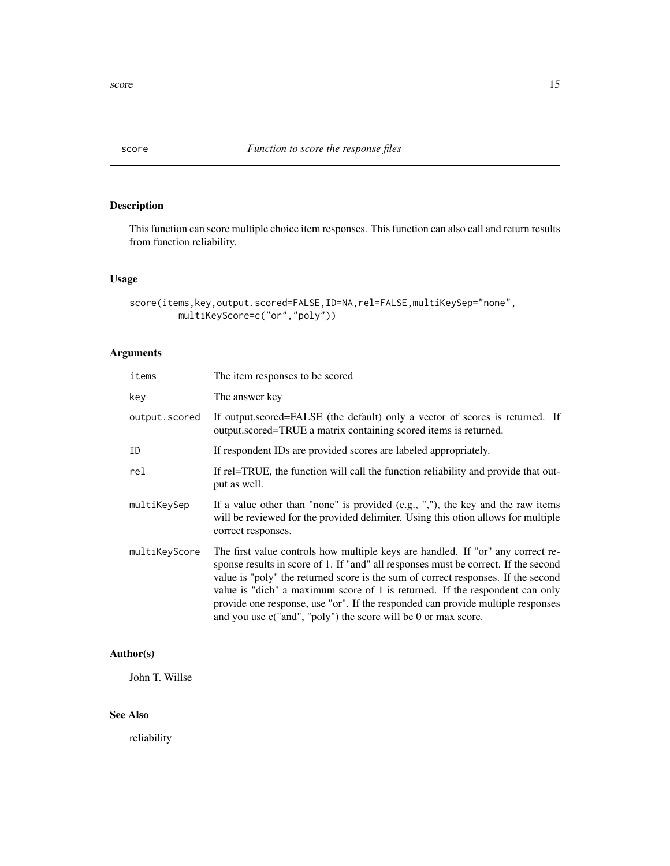<span id="page-14-0"></span>

## Description

This function can score multiple choice item responses. This function can also call and return results from function reliability.

## Usage

```
score(items,key,output.scored=FALSE,ID=NA,rel=FALSE,multiKeySep="none",
        multiKeyScore=c("or","poly"))
```
## Arguments

| items         | The item responses to be scored                                                                                                                                                                                                                                                                                                                                                                                                                                                                  |
|---------------|--------------------------------------------------------------------------------------------------------------------------------------------------------------------------------------------------------------------------------------------------------------------------------------------------------------------------------------------------------------------------------------------------------------------------------------------------------------------------------------------------|
| key           | The answer key                                                                                                                                                                                                                                                                                                                                                                                                                                                                                   |
| output.scored | If output.scored=FALSE (the default) only a vector of scores is returned. If<br>output.scored=TRUE a matrix containing scored items is returned.                                                                                                                                                                                                                                                                                                                                                 |
| ΙD            | If respondent IDs are provided scores are labeled appropriately.                                                                                                                                                                                                                                                                                                                                                                                                                                 |
| rel           | If rel=TRUE, the function will call the function reliability and provide that out-<br>put as well.                                                                                                                                                                                                                                                                                                                                                                                               |
| multiKeySep   | If a value other than "none" is provided $(e.g., ","),$ the key and the raw items<br>will be reviewed for the provided delimiter. Using this otion allows for multiple<br>correct responses.                                                                                                                                                                                                                                                                                                     |
| multiKeyScore | The first value controls how multiple keys are handled. If "or" any correct re-<br>sponse results in score of 1. If "and" all responses must be correct. If the second<br>value is "poly" the returned score is the sum of correct responses. If the second<br>value is "dich" a maximum score of 1 is returned. If the respondent can only<br>provide one response, use "or". If the responded can provide multiple responses<br>and you use c("and", "poly") the score will be 0 or max score. |

## Author(s)

John T. Willse

## See Also

reliability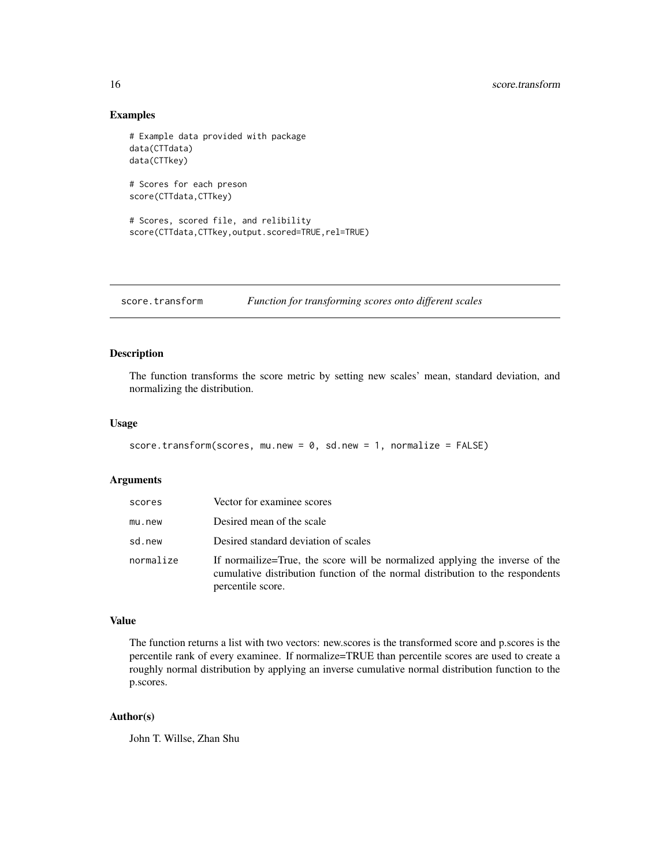#### <span id="page-15-0"></span>16 score.transform

## Examples

```
# Example data provided with package
data(CTTdata)
data(CTTkey)
# Scores for each preson
score(CTTdata,CTTkey)
# Scores, scored file, and relibility
score(CTTdata,CTTkey,output.scored=TRUE,rel=TRUE)
```
score.transform *Function for transforming scores onto different scales*

#### Description

The function transforms the score metric by setting new scales' mean, standard deviation, and normalizing the distribution.

#### Usage

```
score.transform(scores, mu.new = 0, sd.new = 1, normalize = FALSE)
```
## Arguments

| scores    | Vector for examinee scores                                                                                                                                                         |
|-----------|------------------------------------------------------------------------------------------------------------------------------------------------------------------------------------|
| mu.new    | Desired mean of the scale                                                                                                                                                          |
| sd.new    | Desired standard deviation of scales                                                                                                                                               |
| normalize | If normalize=True, the score will be normalized applying the inverse of the<br>cumulative distribution function of the normal distribution to the respondents<br>percentile score. |

#### Value

The function returns a list with two vectors: new.scores is the transformed score and p.scores is the percentile rank of every examinee. If normalize=TRUE than percentile scores are used to create a roughly normal distribution by applying an inverse cumulative normal distribution function to the p.scores.

## Author(s)

John T. Willse, Zhan Shu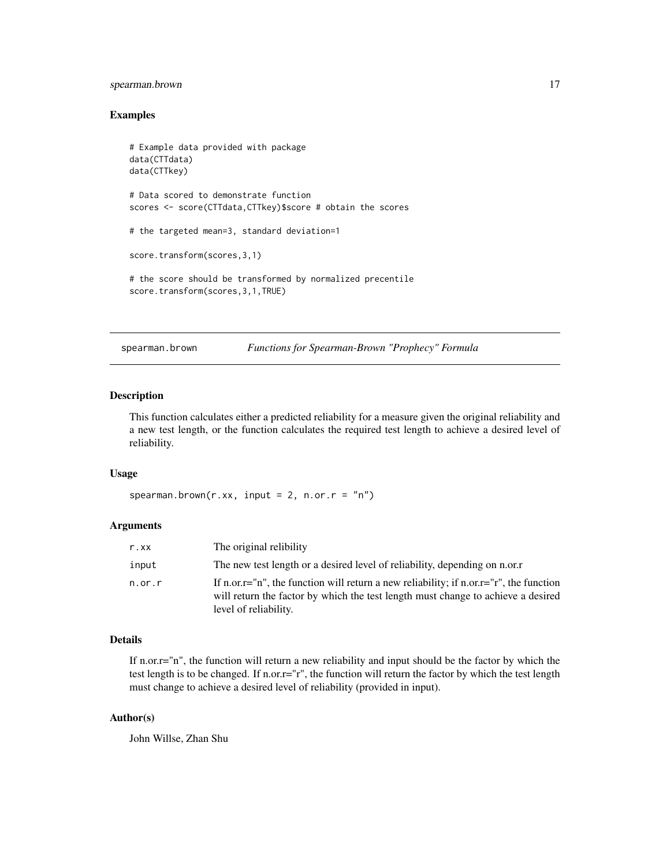## <span id="page-16-0"></span>spearman.brown 17

#### Examples

```
# Example data provided with package
data(CTTdata)
data(CTTkey)
# Data scored to demonstrate function
scores <- score(CTTdata,CTTkey)$score # obtain the scores
# the targeted mean=3, standard deviation=1
score.transform(scores,3,1)
# the score should be transformed by normalized precentile
score.transform(scores,3,1,TRUE)
```
spearman.brown *Functions for Spearman-Brown "Prophecy" Formula*

## Description

This function calculates either a predicted reliability for a measure given the original reliability and a new test length, or the function calculates the required test length to achieve a desired level of reliability.

#### Usage

```
spearman.brown(r.xx, input = 2, n.or.r = nn)
```
#### **Arguments**

| r.xx      | The original relibility                                                                                                                                                                                         |
|-----------|-----------------------------------------------------------------------------------------------------------------------------------------------------------------------------------------------------------------|
| input     | The new test length or a desired level of reliability, depending on n.or.r                                                                                                                                      |
| $n.$ or.r | If n.or. $r = "n"$ , the function will return a new reliability; if n.or. $r = "r"$ , the function<br>will return the factor by which the test length must change to achieve a desired<br>level of reliability. |

## Details

If n.or.r="n", the function will return a new reliability and input should be the factor by which the test length is to be changed. If n.or.r="r", the function will return the factor by which the test length must change to achieve a desired level of reliability (provided in input).

#### Author(s)

John Willse, Zhan Shu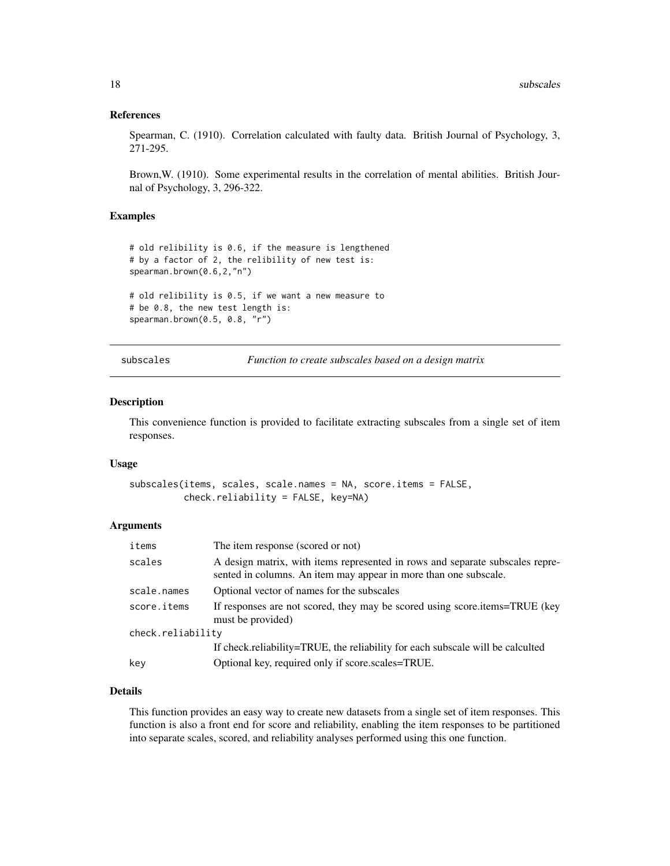#### <span id="page-17-0"></span>References

Spearman, C. (1910). Correlation calculated with faulty data. British Journal of Psychology, 3, 271-295.

Brown,W. (1910). Some experimental results in the correlation of mental abilities. British Journal of Psychology, 3, 296-322.

#### Examples

```
# old relibility is 0.6, if the measure is lengthened
# by a factor of 2, the relibility of new test is:
spearman.brown(0.6,2,"n")
# old relibility is 0.5, if we want a new measure to
# be 0.8, the new test length is:
spearman.brown(0.5, 0.8, "r")
```
subscales *Function to create subscales based on a design matrix*

#### Description

This convenience function is provided to facilitate extracting subscales from a single set of item responses.

#### Usage

```
subscales(items, scales, scale.names = NA, score.items = FALSE,
         check.reliability = FALSE, key=NA)
```
#### **Arguments**

| items             | The item response (scored or not)                                                                                                                 |
|-------------------|---------------------------------------------------------------------------------------------------------------------------------------------------|
| scales            | A design matrix, with items represented in rows and separate subscales repre-<br>sented in columns. An item may appear in more than one subscale. |
| scale.names       | Optional vector of names for the subscales                                                                                                        |
| score.items       | If responses are not scored, they may be scored using score.items=TRUE (key<br>must be provided)                                                  |
| check.reliability |                                                                                                                                                   |
|                   | If check.reliability=TRUE, the reliability for each subscale will be calculted                                                                    |
| key               | Optional key, required only if score.scales=TRUE.                                                                                                 |

#### Details

This function provides an easy way to create new datasets from a single set of item responses. This function is also a front end for score and reliability, enabling the item responses to be partitioned into separate scales, scored, and reliability analyses performed using this one function.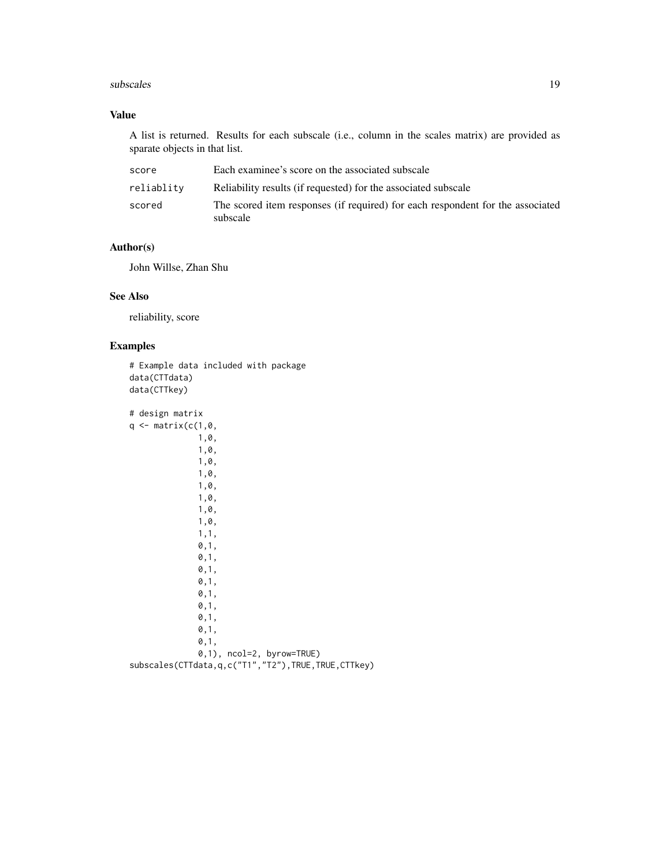#### subscales and the subscales of the subscales of the subscales of the subscales of the subscales of the subscales of the subscales of the subscales of the subscales of the subscales of the subscales of the subscales of the

## Value

A list is returned. Results for each subscale (i.e., column in the scales matrix) are provided as sparate objects in that list.

| score      | Each examinee's score on the associated subscale                                           |
|------------|--------------------------------------------------------------------------------------------|
| reliablity | Reliability results (if requested) for the associated subscale                             |
| scored     | The scored item responses (if required) for each respondent for the associated<br>subscale |

## Author(s)

John Willse, Zhan Shu

#### See Also

reliability, score

## Examples

```
# Example data included with package
data(CTTdata)
data(CTTkey)
# design matrix
q \leftarrow matrix(c(1, \emptyset,1,0,
               1,0,
               1,0,
               1,0,
               1,0,
               1,0,
               1,0,
               1,0,
               1,1,
               0,1,
               0,1,
               0,1,
               0,1,
               0,1,
               0,1,
               0,1,
               0,1,
               0,1,
               0,1), ncol=2, byrow=TRUE)
subscales(CTTdata,q,c("T1","T2"),TRUE,TRUE,CTTkey)
```